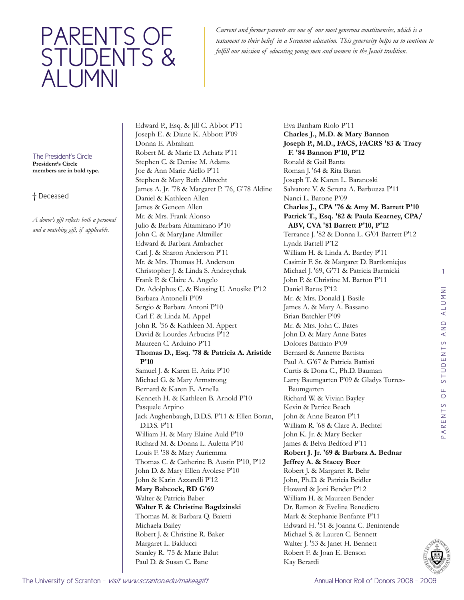## PARENTS OF students & alumni

*Current and former parents are one of our most generous constituencies, which is a testament to their belief in a Scranton education. This generosity helps us to continue to fulfill our mission of educating young men and women in the Jesuit tradition.*

The President's Circle **President's Circle members are in bold type.**

## † Deceased

*A donor's gift reflects both a personal and a matching gift, if applicable.* 

Edward P., Esq. & Jill C. Abbot P'11 Joseph E. & Diane K. Abbott P'09 Donna E. Abraham Robert M. & Marie D. Achatz P'11 Stephen C. & Denise M. Adams Joe & Ann Marie Aiello P'11 Stephen & Mary Beth Albrecht James A. Jr. '78 & Margaret P. '76, G'78 Aldine Daniel & Kathleen Allen James & Geneen Allen Mr. & Mrs. Frank Alonso Julio & Barbara Altamirano P'10 John C. & MaryJane Altmiller Edward & Barbara Ambacher Carl J. & Sharon Anderson P'11 Mr. & Mrs. Thomas H. Anderson Christopher J. & Linda S. Andreychak Frank P. & Claire A. Angelo Dr. Adolphus C. & Blessing U. Anosike P'12 Barbara Antonelli P'09 Sergio & Barbara Antoni P'10 Carl F. & Linda M. Appel John R. '56 & Kathleen M. Appert David & Lourdes Arbucias P'12 Maureen C. Arduino P'11 **Thomas D., Esq. '78 & Patricia A. Aristide P'10** Samuel J. & Karen E. Aritz P'10 Michael G. & Mary Armstrong Bernard & Karen E. Arnella Kenneth H. & Kathleen B. Arnold P'10 Pasquale Arpino Jack Aughenbaugh, D.D.S. P'11 & Ellen Boran, D.D.S. P'11 William H. & Mary Elaine Auld P'10 Richard M. & Donna L. Auletta P'10 Louis F. '58 & Mary Auriemma Thomas C. & Catherine B. Austin P'10, P'12 John D. & Mary Ellen Avolese P'10 John & Karin Azzarelli P'12 **Mary Babcock, RD G'69** Walter & Patricia Baber **Walter F. & Christine Bagdzinski** Thomas M. & Barbara Q. Baietti Michaela Bailey Robert J. & Christine R. Baker Margaret L. Balducci Stanley R. '75 & Marie Balut Paul D. & Susan C. Bane

Eva Banham Riolo P'11 **Charles J., M.D. & Mary Bannon Joseph P., M.D., FACS, FACRS '83 & Tracy F. '84 Bannon P'10, P'12** Ronald & Gail Banta Roman J. '64 & Rita Baran Joseph T. & Karen L. Baranoski Salvatore V. & Serena A. Barbuzza P'11 Nanci L. Barone P'09 **Charles J., CPA '76 & Amy M. Barrett P'10 Patrick T., Esq. '82 & Paula Kearney, CPA/ ABV, CVA '81 Barrett P'10, P'12** Terrance J. '82 & Donna L. G'01 Barrett P'12 Lynda Bartell P'12 William H. & Linda A. Bartley P'11 Casimir F. Sr. & Margaret D. Bartlomiejus Michael J. '69, G'71 & Patricia Bartnicki John P. & Christine M. Barton P'11 Daniel Barus P'12 Mr. & Mrs. Donald J. Basile James A. & Mary A. Bassano Brian Batchler P'09 Mr. & Mrs. John C. Bates John D. & Mary Anne Bates Dolores Battiato P'09 Bernard & Annette Battista Paul A. G'67 & Patricia Battisti Curtis & Dona C., Ph.D. Bauman Larry Baumgarten P'09 & Gladys Torres-Baumgarten Richard W. & Vivian Bayley Kevin & Patrice Beach John & Anne Beaton P'11 William R. '68 & Clare A. Bechtel John K. Jr. & Mary Becker James & Belva Bedford P'11 **Robert J. Jr. '69 & Barbara A. Bednar Jeffrey A. & Stacey Beer** Robert J. & Margaret R. Behr John, Ph.D. & Patricia Beidler Howard & Joni Bender P'12 William H. & Maureen Bender Dr. Ramon & Evelina Benedicto Mark & Stephanie Benfante P'11 Edward H. '51 & Joanna C. Benintende Michael S. & Lauren C. Bennett Walter J. '53 & Janet H. Bennett Robert F. & Joan E. Benson Kay Berardi

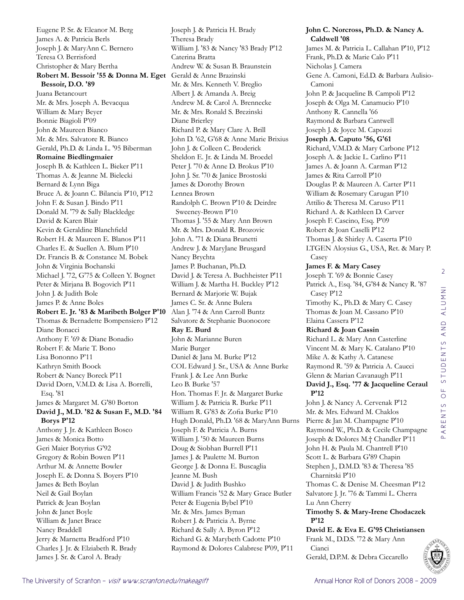Eugene P. Sr. & Eleanor M. Berg James A. & Patricia Berls Joseph J. & MaryAnn C. Bernero Teresa O. Berrisford Christopher & Mary Bertha **Robert M. Bessoir '55 & Donna M. Eget**  Gerald & Anne Brazinski **Bessoir, D.O. '89** Juana Betancourt Mr. & Mrs. Joseph A. Bevacqua William & Mary Beyer Bonnie Biagioli P'09 John & Maureen Bianco Mr. & Mrs. Salvatore R. Bianco Gerald, Ph.D. & Linda L. '95 Biberman **Romaine Biedlingmaier**  Joseph B. & Kathleen L. Bieker P'11 Thomas A. & Jeanne M. Bielecki Bernard & Lynn Biga Bruce A. & Joann C. Bilancia P'10, P'12 John F. & Susan J. Bindo P'11 Donald M. '79 & Sally Blackledge David & Karen Blair Kevin & Geraldine Blanchfield Robert H. & Maureen E. Blanos P'11 Charles E. & Suellen A. Blum P'10 Dr. Francis B. & Constance M. Bobek John & Virginia Bochanski Michael J. '72, G'75 & Colleen Y. Bognet Peter & Mirjana B. Bogovich P'11 John J. & Judith Bole James P. & Anne Boles **Robert E. Jr. '83 & Maribeth Bolger P'10** Thomas & Bernadette Bompensiero P'12 Diane Bonacci Anthony F. '69 & Diane Bonadio Robert F. & Marie T. Bono Lisa Bononno P'11 Kathryn Smith Boock Robert & Nancy Boreck P'11 David Dorn, V.M.D. & Lisa A. Borrelli, Esq. '81 James & Margaret M. G'80 Borton **David J., M.D. '82 & Susan F., M.D. '84 Borys P'12** Anthony J. Jr. & Kathleen Bosco James & Monica Botto Geri Maier Botyrius G'92 Gregory & Robin Bowen P'11 Arthur M. & Annette Bowler Joseph E. & Donna S. Boyers P'10 James & Beth Boylan Neil & Gail Boylan Patrick & Jean Boylan John & Janet Boyle William & Janet Brace Nancy Braddell Jerry & Marnetta Bradford P'10 Charles J. Jr. & Elziabeth R. Brady James J. Sr. & Carol A. Brady

Joseph J. & Patricia H. Brady Theresa Brady William J. '83 & Nancy '83 Brady P'12 Caterina Bratta Andrew W. & Susan B. Braunstein Mr. & Mrs. Kenneth V. Breglio Albert J. & Amanda A. Breig Andrew M. & Carol A. Brennecke Mr. & Mrs. Ronald S. Brezinski Diane Brierley Richard P. & Mary Clare A. Brill John D. '62, G'68 & Anne Marie Brixius John J. & Colleen C. Broderick Sheldon E. Jr. & Linda M. Broedel Peter J. '70 & Anne D. Brokus P'10 John J. Sr. '70 & Janice Brostoski James & Dorothy Brown Lennea Brown Randolph C. Brown P'10 & Deirdre Sweeney-Brown P'10 Thomas J. '55 & Mary Ann Brown Mr. & Mrs. Donald R. Brozovic John A. '71 & Diana Brunetti Andrew J. & MaryJane Brusgard Nancy Brychta James P. Buchanan, Ph.D. David J. & Teresa A. Buchheister P'11 William J. & Martha H. Buckley P'12 Bernard & Marjorie W. Bujak James C. Sr. & Anne Bulera Alan J. '74 & Ann Carroll Buntz Salvatore & Stephanie Buonocore **Ray E. Burd**  John & Marianne Buren Marie Burger Daniel & Jana M. Burke P'12 COL Edward J. Sr., USA & Anne Burke Frank J. & Lee Ann Burke Leo B. Burke '57 Hon. Thomas F. Jr. & Margaret Burke William J. & Patricia R. Burke P'11 William R. G'83 & Zofia Burke P'10 Hugh Donald, Ph.D. '68 & MaryAnn Burns Joseph F. & Patricia A. Burns William J. '50 & Maureen Burns Doug & Siobhan Burrell P'11 James J. & Paulette M. Burton George J. & Donna E. Buscaglia Jeanne M. Bush David J. & Judith Bushko William Francis '52 & Mary Grace Butler Peter & Eugenia Bybel P'10 Mr. & Mrs. James Byman Robert J. & Patricia A. Byrne Richard & Sally A. Byron P'12 Richard G. & Marybeth Cadotte P'10 Raymond & Dolores Calabrese P'09, P'11

**John C. Norcross, Ph.D. & Nancy A. Caldwell '08** James M. & Patricia L. Callahan P'10, P'12 Frank, Ph.D. & Marie Calo P'11 Nicholas J. Camera Gene A. Camoni, Ed.D. & Barbara Aulisio-Camoni John P. & Jacqueline B. Campoli P'12 Joseph & Olga M. Canamucio P'10 Anthony R. Cannella '66 Raymond & Barbara Cantwell Joseph J. & Joyce M. Capozzi **Joseph A. Caputo '56, G'61** Richard, V.M.D. & Mary Carbone P'12 Joseph A. & Jackie L. Carlino P'11 James A. & Joann A. Carman P'12 James & Rita Carroll P'10 Douglas P. & Maureen A. Carter P'11 William & Rosemary Carugan P'10 Attilio & Theresa M. Caruso P'11 Richard A. & Kathleen D. Carver Joseph F. Cascino, Esq. P'09 Robert & Joan Caselli P'12 Thomas J. & Shirley A. Caserta P'10 LTGEN Aloysius G., USA, Ret. & Mary P. Casey **James F. & Mary Casey** Joseph T. '69 & Bonnie Casey Patrick A., Esq. '84, G'84 & Nancy R. '87 Casey P'12 Timothy K., Ph.D. & Mary C. Casey Thomas & Joan M. Cassano P'10 Elaina Cassera P'12 **Richard & Joan Cassin** Richard L. & Mary Ann Casterline Vincent M. & Mary K. Catalano P'10 Mike A. & Kathy A. Catanese Raymond R. '59 & Patricia A. Caucci Glenn & Marian Cavanaugh P'11 **David J., Esq. '77 & Jacqueline Ceraul P'12** John J. & Nancy A. Cervenak P'12 Mr. & Mrs. Edward M. Chaklos Pierre & Jan M. Champagne P'10 Raymond W., Ph.D. & Cecile Champagne Joseph & Dolores M.† Chandler P'11 John H. & Paula M. Chantrell P'10 Scott L. & Barbara G'89 Chapin Stephen J., D.M.D. '83 & Theresa '85 Charnitski P'10 Thomas C. & Denise M. Cheesman P'12 Salvatore J. Jr. '76 & Tammi L. Cherra Lu Ann Cherry **Timothy S. & Mary-Irene Chodaczek P'12 David E. & Eva E. G'95 Christiansen** Frank M., D.D.S. '72 & Mary Ann Cianci Gerald, D.P.M. & Debra Ciccarello

2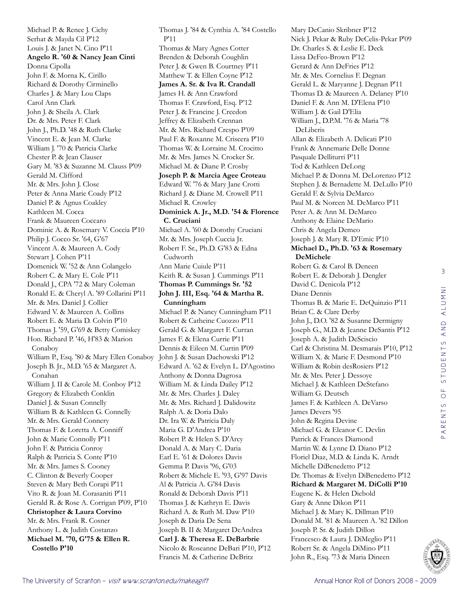Michael P. & Renee J. Cichy Serhat & Mayda Cil P'12 Louis J. & Janet N. Cino P'11 **Angelo R. '60 & Nancy Jean Cinti** Donna Cipolla John F. & Morna K. Cirillo Richard & Dorothy Cirminello Charles J. & Mary Lou Claps Carol Ann Clark John J. & Sheila A. Clark Dr. & Mrs. Peter F. Clark John J., Ph.D. '48 & Ruth Clarke Vincent E. & Jean M. Clarke William J. '70 & Patricia Clarke Chester P. & Jean Clauser Gary M. '83 & Suzanne M. Clauss P'09 Gerald M. Clifford Mr. & Mrs. John J. Close Peter & Anna Marie Coady P'12 Daniel P. & Agnus Coakley Kathleen M. Cocca Frank & Maureen Coccaro Dominic A. & Rosemary V. Coccia P'10 Philip J. Cocco Sr. '64, G'67 Vincent A. & Maureen A. Cody Stewart J. Cohen P'11 Domenick W. '52 & Ann Colangelo Robert C. & Mary E. Cole P'11 Donald J., CPA '72 & Mary Coleman Ronald E. & Cheryl A. '89 Collarini P'11 Mr. & Mrs. Daniel J. Collier Edward V. & Maureen A. Collins Robert E. & Maria D. Colvin P'10 Thomas J. '59, G'69 & Betty Comiskey Hon. Richard P. '46, H'83 & Marion Conaboy William P., Esq. '80 & Mary Ellen Conaboy Joseph B. Jr., M.D. '65 & Margaret A. Conahan William J. II & Carole M. Conboy P'12 Gregory & Elizabeth Conklin Daniel J. & Susan Connelly William B. & Kathleen G. Connelly Mr. & Mrs. Gerald Connery Thomas F. & Loretta A. Conniff John & Marie Connolly P'11 John F. & Patricia Conroy Ralph & Patricia S. Conte P'10 Mr. & Mrs. James S. Cooney C. Clinton & Beverly Cooper Steven & Mary Beth Corapi P'11 Vito R. & Joan M. Corasaniti P'11 Gerald R. & Rose A. Corrigan P'09, P'10 **Christopher & Laura Corvino** Mr. & Mrs. Frank R. Cosner Anthony L. & Judith Costanzo **Michael M. '70, G'75 & Ellen R. Costello P'10**

Thomas J. '84 & Cynthia A. '84 Costello P'11 Thomas & Mary Agnes Cotter Brenden & Deborah Coughlin Peter J. & Gwen B. Courtney P'11 Matthew T. & Ellen Coyne P'12 **James A. Sr. & Iva R. Crandall** James H. & Ann Crawford Thomas F. Crawford, Esq. P'12 Peter J. & Francine J. Creedon Jeffrey & Elizabeth Crennan Mr. & Mrs. Richard Crespo P'09 Paul F. & Roxanne M. Criscera P'10 Thomas W. & Lorraine M. Crocitto Mr. & Mrs. James N. Crocker Sr. Michael M. & Diane P. Crosby **Joseph P. & Marcia Agee Croteau** Edward W. '76 & Mary Jane Crotti Richard J. & Diane M. Crowell P'11 Michael R. Crowley **Dominick A. Jr., M.D. '54 & Florence C. Cruciani** Michael A. '60 & Dorothy Cruciani Mr. & Mrs. Joseph Cuccia Jr. Robert F. Sr., Ph.D. G'83 & Edna Cudworth Ann Marie Cuiule P'11 Keith R. & Susan J. Cummings P'11 **Thomas P. Cummings Sr. '52 John J. III, Esq. '64 & Martha R. Cunningham** Michael P. & Nancy Cunningham P'11 Robert & Catheine Cuozzo P'11 Gerald G. & Margaret F. Curran James F. & Elena Currie P'11 Dennis & Eileen M. Curtin P'09 John J. & Susan Dachowski P'12 Edward A. '62 & Evelyn L. D'Agostino Anthony & Donna Dagrosa William M. & Linda Dailey P'12 Mr. & Mrs. Charles J. Daley Mr. & Mrs. Richard J. Dalidowitz Ralph A. & Doria Dalo Dr. Ira W. & Patricia Daly Maria G. D'Andrea P'10 Robert P. & Helen S. D'Arcy Donald A. & Mary C. Daria Earl E. '61 & Dolores Davis Gemma P. Davis '96, G'03 Robert & Michele E. '93, G'97 Davis Al & Patricia A. G'84 Davis Ronald & Deborah Davis P'11 Thomas J. & Kathryn E. Davis Richard A. & Ruth M. Daw P'10 Joseph & Daria De Sena Joseph B. II & Margaret DeAndrea **Carl J. & Theresa E. DeBarbrie** Nicolo & Roseanne DeBari P'10, P'12 Francis M. & Catherine DeBritz

Mary DeCanio Skribner P'12 Nick J. Pekar & Ruby DeCelis-Pekar P'09 Dr. Charles S. & Leslie E. Deck Lissa DeFeo-Brown P'12 Gerard & Ann DeFries P'12 Mr. & Mrs. Cornelius F. Degnan Gerald L. & Maryanne J. Degnan P'11 Thomas D. & Maureen A. Delaney P'10 Daniel F. & Ann M. D'Elena P'10 William J. & Gail D'Elia William J., D.P.M. '76 & Maria '78 DeLiberis Allan & Elizabeth A. Delicati P'10 Frank & Annemarie Delle Donne Pasquale Delliturri P'11 Tod & Kathleen DeLong Michael P. & Donna M. DeLorenzo P'12 Stephen J. & Bernadette M. DeLullo P'10 Gerald F. & Sylvia DeMarco Paul M. & Noreen M. DeMarco P'11 Peter A. & Ann M. DeMarco Anthony & Elaine DeMario Chris & Angela Demeo Joseph J. & Mary R. D'Emic P'10 **Michael D., Ph.D. '63 & Rosemary DeMichele** Robert G. & Carol B. Deneen Robert E. & Deborah J. Dengler David C. Denicola P'12 Diane Dennis Thomas B. & Marie E. DeQuinzio P'11 Brian C. & Clare Derby John J., D.O. '82 & Susanne Dermigny Joseph G., M.D. & Jeanne DeSantis P'12 Joseph A. & Judith DeSciscio Carl & Christina M. Desmarais P'10, P'12 William X. & Marie F. Desmond P'10 William & Robin desRosiers P'12 Mr. & Mrs. Peter J. Dessoye Michael J. & Kathleen DeStefano William G. Deutsch James F. & Kathleen A. DeVarso James Devers '95 John & Regina Devine Michael G. & Eleanor C. Devlin Patrick & Frances Diamond Martin W. & Lynne D. Diano P'12 Floriel Diaz, M.D. & Linda K. Arndt Michelle DiBenedetto P'12 Dr. Thomas & Evelyn DiBenedetto P'12 **Richard & Margaret M. DiColli P'10** Eugene K. & Helen Diebold Gary & Anne Dikon P'11 Michael J. & Mary K. Dillman P'10 Donald M. '81 & Maureen A. '82 Dillon Joseph P. Sr. & Judith Dillon Francesco & Laura J. DiMeglio P'11 Robert Sr. & Angela DiMino P'11 John R., Esq. '73 & Maria Dineen

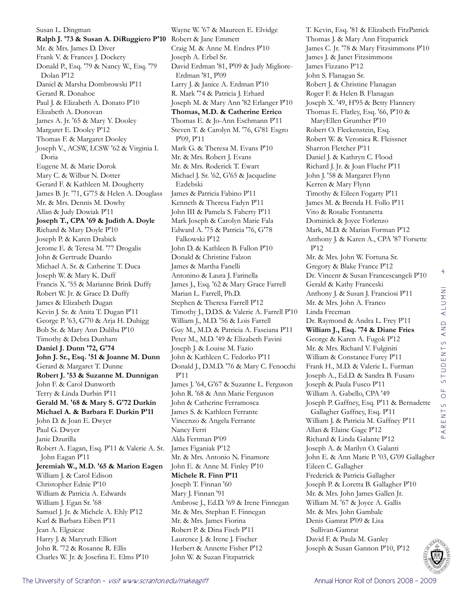Susan L. Dingman **Ralph J. '73 & Susan A. DiRuggiero P'10** Robert & Jane Emmett Mr. & Mrs. James D. Diver Frank V. & Frances J. Dockery Donald P., Esq. '79 & Nancy W., Esq. '79 Dolan P'12 Daniel & Marsha Dombrowski P'11 Gerard R. Donahoe Paul J. & Elizabeth A. Donato P'10 Elizabeth A. Donovan James A. Jr. '65 & Mary Y. Dooley Margaret E. Dooley P'12 Thomas F. & Margaret Dooley Joseph V., ACSW, LCSW '62 & Virginia I. Doria Eugene M. & Marie Dorok Mary C. & Wilbur N. Dotter Gerard F. & Kathleen M. Dougherty James B. Jr. '71, G'75 & Helen A. Douglass Mr. & Mrs. Dennis M. Dowhy Allan & Judy Dowiak P'11 **Joseph T., CPA '69 & Judith A. Doyle** Richard & Mary Doyle P'10 Joseph P. & Karen Drabick Jerome E. & Teresa M. '77 Drogalis John & Gertrude Duardo Michael A. Sr. & Catherine T. Duca Joseph W. & Mary K. Duff Francis X. '55 & Marianne Brink Duffy Robert W. Jr. & Grace D. Duffy James & Elizabeth Dugan Kevin J. Sr. & Anita T. Dugan P'11 George P. '63, G'70 & Arja H. Duhigg Bob Sr. & Mary Ann Duliba P'10 Timothy & Debra Dunham **Daniel J. Dunn '72, G'74 John J. Sr., Esq. '51 & Joanne M. Dunn** Gerard & Margaret T. Dunne **Robert J. '53 & Suzanne M. Dunnigan** John F. & Carol Dunworth Terry & Linda Durbin P'11 **Gerald M. '68 & Mary S. G'72 Durkin Michael A. & Barbara F. Durkin P'11** John D. & Joan E. Dwyer Paul G. Dwyer Janie Dzurilla Robert A. Eagan, Esq. P'11 & Valerie A. St. John Eagan P'11 **Jeremiah W., M.D. '65 & Marion Eagen** William J. & Carol Edison Christopher Ednie P'10 William & Patricia A. Edwards William J. Egan Sr. '68 Samuel J. Jr. & Michele A. Ehly P'12 Karl & Barbara Eiben P'11 Jean A. Elguicze Harry J. & Maryruth Elliott John R. '72 & Rosanne R. Ellis Charles W. Jr. & Josefina E. Elms P'10

Wayne W. '67 & Maureen E. Elvidge Craig M. & Anne M. Endres P'10 Joseph A. Erbel Sr. David Erdman '81, P'09 & Judy Migliore-Erdman '81, P'09 Larry J. & Janice A. Erdman P'10 R. Mark '74 & Patricia J. Erhard Joseph M. & Mary Ann '82 Erlanger P'10 **Thomas, M.D. & Catherine Errico** Thomas E. & Jo-Ann Eschmann P'11 Steven T. & Carolyn M. '76, G'81 Esgro P'09, P'11 Mark G. & Theresa M. Evans P'10 Mr. & Mrs. Robert J. Evans Mr. & Mrs. Roderick T. Ewart Michael J. Sr. '62, G'65 & Jacqueline Ezdebski James & Patricia Fabino P'11 Kenneth & Theresa Fadyn P'11 John III & Pamela S. Faherty P'11 Mark Joseph & Carolyn Marie Fala Edward A. '75 & Patricia '76, G'78 Falkowski P'12 John D. & Kathleen B. Fallon P'10 Donald & Christine Falzon James & Martha Fanelli Antonino & Laura J. Farinella James J., Esq. '62 & Mary Grace Farrell Marian L. Farrell, Ph.D. Stephen & Theresa Farrell P'12 Timothy J., D.D.S. & Valerie A. Farrell P'10 William J., M.D. '56 & Lois Farrell Guy M., M.D. & Patricia A. Fasciana P'11 Peter M., M.D. '49 & Elizabeth Favini Joseph J. & Louise M. Fazio John & Kathleen C. Fedorko P'11 Donald J., D.M.D. '76 & Mary C. Fenocchi P'11 James J. '64, G'67 & Suzanne L. Ferguson John R. '68 & Ann Marie Ferguson John & Catherine Ferramosca James S. & Kathleen Ferrante Vincenzo & Angela Ferrante Nancy Ferri Alda Fertman P'09 James Figaniak P'12 Mr. & Mrs. Antonio N. Finamore John E. & Anne M. Finley P'10 **Michele R. Finn P'11** Joseph T. Finnan '60 Mary J. Finnan '91 Ambrose J., Ed.D. '69 & Irene Finnegan Mr. & Mrs. Stephan F. Finnegan Mr. & Mrs. James Fiorina Robert P. & Dina Fisch P'11 Laurence J. & Irene J. Fischer Herbert & Annette Fisher P'12 John W. & Suzan Fitzpatrick

T. Kevin, Esq. '81 & Elizabeth FitzPatrick Thomas J. & Mary Ann Fitzpatrick James C. Jr. '78 & Mary Fitzsimmons P'10 James J. & Janet Fitzsimmons James Fizzano P'12 John S. Flanagan Sr. Robert J. & Christine Flanagan Roger F. & Helen B. Flanagan Joseph X. '49, H'95 & Betty Flannery Thomas E. Flatley, Esq. '66, P'10 & MaryEllen Grunther P'10 Robert O. Fleckenstein, Esq. Robert W. & Veronica R. Fleissner Sharron Fletcher P'11 Daniel J. & Kathryn C. Flood Richard J. Jr. & Joan Fluehr P'11 John J. '58 & Margaret Flynn Kerren & Mary Flynn Timothy & Eileen Fogarty P'11 James M. & Brenda H. Follo P'11 Vito & Rosalie Fontanetta Dominick & Joyce Forlenzo Mark, M.D. & Marian Forman P'12 Anthony J. & Karen A., CPA '87 Forsette P'12 Mr. & Mrs. John W. Fortuna Sr. Gregory & Blake France P'12 Dr. Vincent & Susan Francescangeli P'10 Gerald & Kathy Franceski Anthony J. & Susan J. Franciosi P'11 Mr. & Mrs. John A. Franco Linda Freeman Dr. Raymond & Andra L. Frey P'11 **William J., Esq. '74 & Diane Fries** George & Karen A. Fugok P'12 Mr. & Mrs. Richard V. Fulginiti William & Constance Furey P'11 Frank H., M.D. & Valerie L. Furman Joseph A., Ed.D. & Sandra B. Fusaro Joseph & Paula Fusco P'11 William A. Gabello, CPA '49 Joseph P. Gaffney, Esq. P'11 & Bernadette Gallagher Gaffney, Esq. P'11 William J. & Patricia M. Gaffney P'11 Allan & Elaine Gage P'12 Richard & Linda Galante P'12 Joseph A. & Marilyn O. Galanti John E. & Ann Marie P. '03, G'09 Gallagher Eileen C. Gallagher Frederick & Patricia Gallagher Joseph P. & Loretta B. Gallagher P'10 Mr. & Mrs. John James Gallen Jr. William M. '67 & Joyce A. Gallis Mr. & Mrs. John Gambale Denis Gamrat P'09 & Lisa Sullivan-Gamrat David F. & Paula M. Ganley Joseph & Susan Gannon P'10, P'12

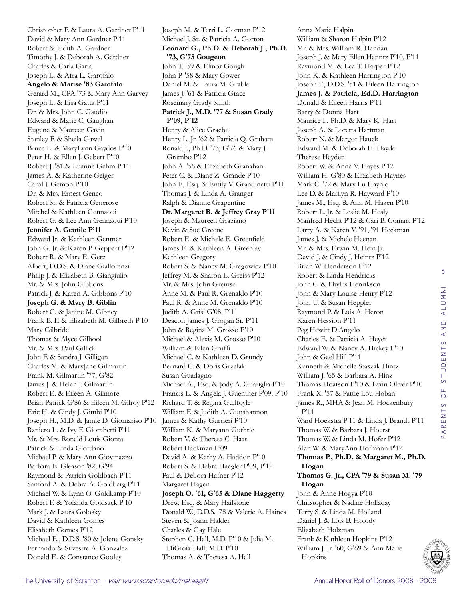Christopher P. & Laura A. Gardner P'11 David & Mary Ann Gardner P'11 Robert & Judith A. Gardner Timothy J. & Deborah A. Gardner Charles & Carla Garia Joseph L. & Afra L. Garofalo **Angelo & Marise '83 Garofalo** Gerard M., CPA '73 & Mary Ann Garvey Joseph L. & Lisa Gatta P'11 Dr. & Mrs. John C. Gaudio Edward & Marie C. Gaughan Eugene & Maureen Gavin Stanley F. & Sheila Gawel Bruce L. & MaryLynn Gaydos P'10 Peter H. & Ellen J. Gebert P'10 Robert J. '81 & Luanne Gehm P'11 James A. & Katherine Geiger Carol J. Gemon P'10 Dr. & Mrs. Ernest Genco Robert Sr. & Patricia Generose Mitchel & Kathleen Gennaoui Robert G. & Lee Ann Gennaoui P'10 **Jennifer A. Gentile P'11** Edward Jr. & Kathleen Gentner John G. Jr. & Karen P. Geppert P'12 Robert R. & Mary E. Getz Albert, D.D.S. & Diane Giallorenzi Philip J. & Elizabeth B. Giangiulio Mr. & Mrs. John Gibbons Patrick J. & Karen A. Gibbons P'10 **Joseph G. & Mary B. Giblin** Robert G. & Janine M. Gibney Frank B. II & Elizabeth M. Gilbreth P'10 Mary Gilbride Thomas & Alyce Gilhool Mr. & Mrs. Paul Gillick John F. & Sandra J. Gilligan Charles M. & MaryJane Gilmartin Frank M. Gilmartin '77, G'82 James J. & Helen J. Gilmartin Robert E. & Eileen A. Gilmore Brian Patrick G'86 & Eileen M. Gilroy P'12 Eric H. & Cindy J. Gimbi P'10 Joseph H., M.D. & Jamie D. Giomariso P'10 Raniero L. & Ivy F. Giombetti P'11 Mr. & Mrs. Ronald Louis Gionta Patrick & Linda Giordano Michael P. & Mary Ann Giovinazzo Barbara E. Gleason '82, G'94 Raymond & Patricia Goldbach P'11 Sanford A. & Debra A. Goldberg P'11 Michael W. & Lynn O. Goldkamp P'10 Robert F. & Yolanda Goldsack P'10 Mark J. & Laura Golosky David & Kathleen Gomes Elisabeth Gomes P'12 Michael E., D.D.S. '80 & Jolene Gonsky Fernando & Silvestre A. Gonzalez Donald E. & Constance Gooley

Joseph M. & Terri L. Gorman P'12 Michael J. Sr. & Patricia A. Gorton **Leonard G., Ph.D. & Deborah J., Ph.D. '73, G'75 Gougeon** John T. '59 & Elinor Gough John P. '58 & Mary Gower Daniel M. & Laura M. Grable James J. '61 & Patricia Grace Rosemary Grady Smith **Patrick J., M.D. '77 & Susan Grady P'09, P'12** Henry & Alice Graebe Henry L. Jr. '62 & Patricia Q. Graham Ronald J., Ph.D. '73, G'76 & Mary J. Grambo P'12 John A. '56 & Elizabeth Granahan Peter C. & Diane Z. Grande P'10 John F., Esq. & Emily V. Grandinetti P'11 Thomas J. & Linda A. Granger Ralph & Dianne Grapentine **Dr. Margaret B. & Jeffrey Gray P'11** Joseph & Maureen Graziano Kevin & Sue Greene Robert E. & Michele E. Greenfield James E. & Kathleen A. Greenlay Kathleen Gregory Robert S. & Nancy M. Gregowicz P'10 Jeffrey M. & Sharon L. Greiss P'12 Mr. & Mrs. John Gremse Anne M. & Paul R. Grenaldo P'10 Paul R. & Anne M. Grenaldo P'10 Judith A. Grisi G'08, P'11 Deacon James J. Grogan Sr. P'11 John & Regina M. Grosso P'10 Michael & Alexis M. Grosso P'10 William & Ellen Gruffi Michael C. & Kathleen D. Grundy Bernard C. & Doris Grzelak Susan Guadagno Michael A., Esq. & Jody A. Guariglia P'10 Francis L. & Angela J. Guenther P'09, P'10 Richard T. & Regina Guilfoyle William F. & Judith A. Gunshannon James & Kathy Gurrieri P'10 William K. & Maryann Guthrie Robert V. & Theresa C. Haas Robert Hackman P'09 David A. & Kathy A. Haddon P'10 Robert S. & Debra Haegler P'09, P'12 Paul & Debora Hafner P'12 Margaret Hagen **Joseph O. '61, G'65 & Diane Haggerty** Drew, Esq. & Mary Hailstone Donald W., D.D.S. '78 & Valerie A. Haines Steven & Joann Halder Charles & Gay Hale Stephen C. Hall, M.D. P'10 & Julia M. DiGioia-Hall, M.D. P'10 Thomas A. & Theresa A. Hall

Anna Marie Halpin William & Sharon Halpin P'12 Mr. & Mrs. William R. Hannan Joseph J. & Mary Ellen Hanntz P'10, P'11 Raymond M. & Lea T. Harper P'12 John K. & Kathleen Harrington P'10 Joseph F., D.D.S. '51 & Eileen Harrington **James J. & Patricia, Ed.D. Harrington** Donald & Eileen Harris P'11 Barry & Donna Hart Maurice I., Ph.D. & Mary K. Hart Joseph A. & Loretta Hartman Robert N. & Margot Hauck Edward M. & Deborah H. Hayde Therese Hayden Robert W. & Anne V. Hayes P'12 William H. G'80 & Elizabeth Haynes Mark C. '72 & Mary Lu Haynie Lee D. & Marilyn R. Hayward P'10 James M., Esq. & Ann M. Hazen P'10 Robert L. Jr. & Leslie M. Healy Manfred Hecht P'12 & Cari B. Comart P'12 Larry A. & Karen V. '91, '91 Heckman James J. & Michele Heenan Mr. & Mrs. Erwin M. Hein Jr. David J. & Cindy J. Heintz P'12 Brian W. Henderson P'12 Robert & Linda Hendricks John C. & Phyllis Henrikson John & Mary Louise Henry P'12 John U. & Susan Heppler Raymond P. & Lois A. Heron Karen Hession P'11 Peg Hewitt D'Angelo Charles E. & Patricia A. Heyer Edward W. & Nancy A. Hickey P'10 John & Gael Hill P'11 Kenneth & Michelle Staszak Hintz William J. '65 & Barbara A. Hinz Thomas Hoatson P'10 & Lynn Oliver P'10 Frank X. '57 & Pattie Lou Hoban James R., MHA & Jean M. Hockenbury P'11 Ward Hoekstra P'11 & Linda J. Brandt P'11 Thomas W. & Barbara J. Hoerst Thomas W. & Linda M. Hofer P'12 Alan W. & MaryAnn Hofmann P'12 **Thomas P., Ph.D. & Margaret M., Ph.D. Hogan Thomas G. Jr., CPA '79 & Susan M. '79 Hogan** John & Anne Hogya P'10 Christopher & Nadine Holladay Terry S. & Linda M. Holland Daniel J. & Lois B. Holody Elizabeth Holzman Frank & Kathleen Hopkins P'12 William J. Jr. '60, G'69 & Ann Marie Hopkins

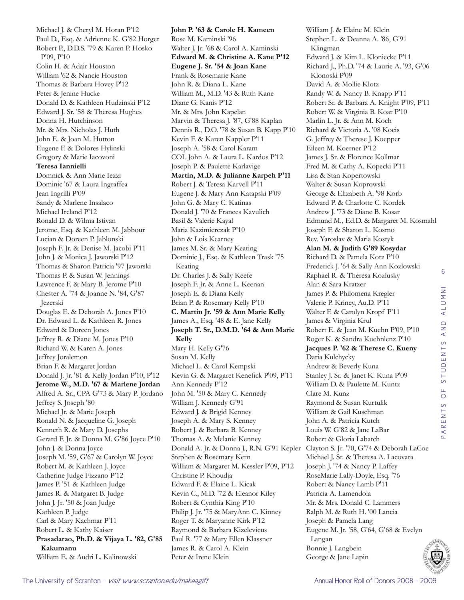Michael J. & Cheryl M. Horan P'12 Paul D., Esq. & Adrienne K. G'82 Horger Robert P., D.D.S. '79 & Karen P. Hosko P'09, P'10 Colin H. & Adair Houston William '62 & Nancie Houston Thomas & Barbara Hovey P'12 Peter & Jenine Hucke Donald D. & Kathleen Hudzinski P'12 Edward J. Sr. '58 & Theresa Hughes Donna H. Hutchinson Mr. & Mrs. Nicholas J. Huth John E. & Joan M. Hutton Eugene F. & Dolores Hylinski Gregory & Marie Iacovoni **Teresa Iannielli**  Domnick & Ann Marie Iezzi Dominic '67 & Laura Ingraffea Jean Ingrilli P'09 Sandy & Marlene Insalaco Michael Ireland P'12 Ronald D. & Wilma Istivan Jerome, Esq. & Kathleen M. Jabbour Lucian & Doreen P. Jablonski Joseph F. Jr. & Denise M. Jacobi P'11 John J. & Monica J. Jaworski P'12 Thomas & Sharon Patricia '97 Jaworski Thomas P. & Susan W. Jennings Lawrence F. & Mary B. Jerome P'10 Chester A. '74 & Joanne N. '84, G'87 Jezerski Douglas E. & Deborah A. Jones P'10 Dr. Edward L. & Kathleen R. Jones Edward & Doreen Jones Jeffrey R. & Diane M. Jones P'10 Richard W. & Karen A. Jones Jeffrey Joralemon Brian F. & Margaret Jordan Donald J. Jr. '81 & Kelly Jordan P'10, P'12 **Jerome W., M.D. '67 & Marlene Jordan** Alfred A. Sr., CPA G'73 & Mary P. Jordano Jeffrey S. Joseph '80 Michael Jr. & Marie Joseph Ronald N. & Jacqueline G. Joseph Kenneth R. & Mary D. Josephs Gerard F. Jr. & Donna M. G'86 Joyce P'10 John J. & Donna Joyce Joseph M. '59, G'67 & Carolyn W. Joyce Robert M. & Kathleen J. Joyce Catherine Judge Fizzano P'12 James P. '51 & Kathleen Judge James R. & Margaret B. Judge John J. Jr. '50 & Joan Judge Kathleen P. Judge Carl & Mary Kachmar P'11 Robert L. & Kathy Kaiser **Prasadarao, Ph.D. & Vijaya L. '82, G'85 Kakumanu** William E. & Audri L. Kalinowski

**John P. '63 & Carole H. Kameen** Rose M. Kaminski '96 Walter J. Jr. '68 & Carol A. Kaminski **Edward M. & Christine A. Kane P'12 Eugene J. Sr. '54 & Joan Kane** Frank & Rosemarie Kane John R. & Diana L. Kane William M., M.D. '43 & Ruth Kane Diane G. Kanis P'12 Mr. & Mrs. John Kapelan Marvin & Theresa J. '87, G'88 Kaplan Dennis R., D.O. '78 & Susan B. Kapp P'10 Kevin F. & Karen Kappler P'11 Joseph A. '58 & Carol Karam COL John A. & Laura L. Kardos P'12 Joseph P. & Paulette Karlavige **Martin, M.D. & Julianne Karpeh P'11** Robert J. & Teresa Karvell P'11 Eugene J. & Mary Ann Katapski P'09 John G. & Mary C. Katinas Donald J. '70 & Frances Kavulich Basil & Valerie Kayal Maria Kazimierczak P'10 John & Lois Kearney James M. Sr. & Mary Keating Dominic J., Esq. & Kathleen Trask '75 Keating Dr. Charles J. & Sally Keefe Joseph F. Jr. & Anne L. Keenan Joseph E. & Diana Keily Brian P. & Rosemary Kelly P'10 **C. Martin Jr. '59 & Ann Marie Kelly** James A., Esq. '48 & E. Jane Kelly **Joseph T. Sr., D.M.D. '64 & Ann Marie Kelly** Mary H. Kelly G'76 Susan M. Kelly Michael L. & Carol Kempski Kevin G. & Margaret Kenefick P'09, P'11 Ann Kennedy P'12 John M. '50 & Mary C. Kennedy William J. Kennedy G'91 Edward J. & Brigid Kenney Joseph A. & Mary S. Kenney Robert J. & Barbara B. Kenney Thomas A. & Melanie Kenney Stephen & Rosemary Kern William & Margaret M. Kessler P'09, P'12 Christine P. Khoudja Edward F. & Elaine L. Kicak Kevin C., M.D. '72 & Eleanor Kiley Robert & Cynthia King P'10 Philip J. Jr. '75 & MaryAnn C. Kinney Roger T. & Maryanne Kirk P'12 Raymond & Barbara Kizelevicus Paul R. '77 & Mary Ellen Klassner James R. & Carol A. Klein Peter & Irene Klein

Donald A. Jr. & Donna J., R.N. G'91 Kepler Clayton S. Jr. '70, G'74 & Deborah LaCoe William J. & Elaine M. Klein Stephen L. & Deanna A. '86, G'91 Klingman Edward J. & Kim L. Kloniecke P'11 Richard J., Ph.D. '74 & Laurie A. '93, G'06 Klonoski P'09 David A. & Mollie Klotz Randy W. & Nancy B. Knapp P'11 Robert Sr. & Barbara A. Knight P'09, P'11 Robert W. & Virginia B. Koar P'10 Marlin L. Jr. & Ann M. Koch Richard & Victoria A. '08 Kocis G. Jeffrey & Therese J. Koepper Eileen M. Koerner P'12 James J. Sr. & Florence Kollmar Fred M. & Cathy A. Kopecki P'11 Lisa & Stan Kopertowski Walter & Susan Koprowski George & Elizabeth A. '98 Korb Edward P. & Charlotte C. Kordek Andrew J. '73 & Diane B. Kosar Edmund M., Ed.D. & Margaret M. Kosmahl Joseph F. & Sharon L. Kosmo Rev. Yaroslav & Maria Kostyk **Alan M. & Judith G'89 Kosydar** Richard D. & Pamela Kotz P'10 Frederick J. '64 & Sally Ann Kozlowski Raphael R. & Theresa Kozlusky Alan & Sara Kratzer James P. & Philomena Kregler Valerie P. Kriney, Au.D. P'11 Walter F. & Carolyn Kropf P'11 James & Virginia Krul Robert E. & Jean M. Kuehn P'09, P'10 Roger K. & Sandra Kuehnlenz P'10 **Jacques P. '62 & Therese C. Kueny** Daria Kulchycky Andrew & Beverly Kuna Stanley J. Sr. & Janet K. Kuna P'09 William D. & Paulette M. Kuntz Clare M. Kunz Raymond & Susan Kurtulik William & Gail Kuschman John A. & Patricia Kutch Louis W. G'82 & Jane LaBar Robert & Gloria Labatch Michael J. Sr. & Theresa A. Lacovara Joseph J. '74 & Nancy P. Laffey RoseMarie Lally-Doyle, Esq. '76 Robert & Nancy Lamb P'11 Patricia A. Lamendola Mr. & Mrs. Donald C. Lammers Ralph M. & Ruth H. '00 Lancia Joseph & Pamela Lang Eugene M. Jr. '58, G'64, G'68 & Evelyn Langan Bonnie J. Langbein George & Jane Lapin

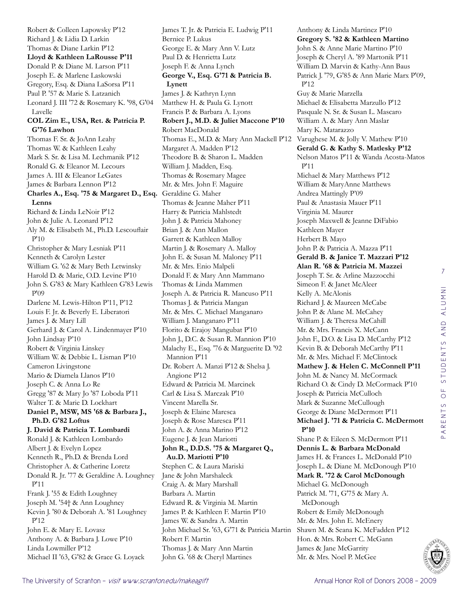Robert & Colleen Lapowsky P'12 Richard J. & Lidia D. Larkin Thomas & Diane Larkin P'12 **Lloyd & Kathleen LaRousse P'11** Donald P. & Diane M. Larson P'11 Joseph E. & Marlene Laskowski Gregory, Esq. & Diana LaSorsa P'11 Paul P. '57 & Marie S. Latzanich Leonard J. III '72 & Rosemary K. '98, G'04 Lavelle **COL Zim E., USA, Ret. & Patricia P. G'76 Lawhon** Thomas F. Sr. & JoAnn Leahy Thomas W. & Kathleen Leahy Mark S. Sr. & Lisa M. Lechmanik P'12 Ronald G. & Eleanor M. Lecours James A. III & Eleanor LeGates James & Barbara Lennon P'12 **Charles A., Esq. '75 & Margaret D., Esq.**  Geraldine G. Maher **Lenns** Richard & Linda LeNoir P'12 John & Julie A. Leonard P'12 Aly M. & Elisabeth M., Ph.D. Lescouflair P'10 Christopher & Mary Lesniak P'11 Kenneth & Carolyn Lester William G. '62 & Mary Beth Letwinsky Harold D. & Marie, O.D. Levine P'10 John S. G'83 & Mary Kathleen G'83 Lewis P'09 Darlene M. Lewis-Hilton P'11, P'12 Louis F. Jr. & Beverly E. Liberatori James J. & Mary Lill Gerhard J. & Carol A. Lindenmayer P'10 John Lindsay P'10 Robert & Virginia Linskey William W. & Debbie L. Lisman P'10 Cameron Livingstone Mario & Diamela Llanos P'10 Joseph C. & Anna Lo Re Gregg '87 & Mary Jo '87 Loboda P'11 Walter T. & Marie D. Lockhart **Daniel P., MSW, MS '68 & Barbara J., Ph.D. G'82 Loftus J. David & Patricia T. Lombardi** Ronald J. & Kathleen Lombardo Albert J. & Evelyn Lopez Kenneth R., Ph.D. & Brenda Lord Christopher A. & Catherine Loretz Donald R. Jr. '77 & Geraldine A. Loughney P'11 Frank J. '55 & Edith Loughney Joseph M. '54† & Ann Loughney Kevin J. '80 & Deborah A. '81 Loughney P'12 John E. & Mary E. Lovasz Anthony A. & Barbara J. Lowe P'10 Linda Lowmiller P'12 Michael II '63, G'82 & Grace G. Loyack

James T. Jr. & Patricia E. Ludwig P'11 Bernice P. Lukus George E. & Mary Ann V. Lutz Paul D. & Henrietta Lutz Joseph F. & Anna Lynch **George V., Esq. G'71 & Patricia B. Lynett** James J. & Kathryn Lynn Matthew H. & Paula G. Lynott Francis P. & Barbara A. Lyons **Robert J., M.D. & Juliet Maccone P'10** Robert MacDonald Thomas E., M.D. & Mary Ann Mackell P'12 Margaret A. Madden P'12 Theodore B. & Sharon L. Madden William J. Madden, Esq. Thomas & Rosemary Magee Mr. & Mrs. John F. Maguire Thomas & Jeanne Maher P'11 Harry & Patricia Mahlstedt John J. & Patricia Mahoney Brian J. & Ann Mallon Garrett & Kathleen Malloy Martin J. & Rosemary A. Malloy John E. & Susan M. Maloney P'11 Mr. & Mrs. Enio Malpeli Donald F. & Mary Ann Mammano Thomas & Linda Mammen Joseph A. & Patricia R. Mancuso P'11 Thomas J. & Patricia Mangan Mr. & Mrs. C. Michael Manganaro William J. Manganaro P'11 Florito & Erajoy Mangubat P'10 John J., D.C. & Susan R. Mannion P'10 Malachy E., Esq. '76 & Marguerite D. '92 Mannion P'11 Dr. Robert A. Manzi P'12 & Shelsa J. Angione P'12 Edward & Patricia M. Marcinek Carl & Lisa S. Marczak P'10 Vincent Marella Sr. Joseph & Elaine Maresca Joseph & Rose Maresca P'11 John A. & Anna Marino P'12 Eugene J. & Jean Mariotti **John R., D.D.S. '75 & Margaret Q., Au.D. Mariotti P'10** Stephen C. & Laura Mariski Jane & John Marshaleck Craig A. & Mary Marshall Barbara A. Martin Edward R. & Virginia M. Martin James P. & Kathleen F. Martin P'10 James W. & Sandra A. Martin John Michael Sr. '63, G'71 & Patricia Martin Robert F. Martin Thomas J. & Mary Ann Martin John G. '68 & Cheryl Martines

Anthony & Linda Martinez P'10 **Gregory S. '82 & Kathleen Martino** John S. & Anne Marie Martino P'10 Joseph & Cheryl A. '89 Martonik P'11 William D. Marvin & Kathy-Ann Baus Patrick J. '79, G'85 & Ann Marie Marx P'09, P'12 Guy & Marie Marzella Michael & Elisabetta Marzullo P'12 Pasquale N. Sr. & Susan L. Mascaro William A. & Mary Ann Maslar Mary K. Matarazzo Varughese M. & Jolly V. Mathew P'10 **Gerald G. & Kathy S. Matlesky P'12** Nelson Matos P'11 & Wanda Acosta-Matos P'11 Michael & Mary Matthews P'12 William & MaryAnne Matthews Andrea Mattingly P'09 Paul & Anastasia Mauer P'11 Virginia M. Maurer Joseph Maxwell & Jeanne DiFabio Kathleen Mayer Herbert B. Mayo John P. & Patricia A. Mazza P'11 **Gerald B. & Janice T. Mazzari P'12 Alan R. '68 & Patricia M. Mazzei** Joseph T. Sr. & Arline Mazzocchi Simeon F. & Janet McAleer Kelly A. McAlonis Richard J. & Maureen McCabe John P. & Alane M. McCahey William J. & Theresa McCahill Mr. & Mrs. Francis X. McCann John F., D.O. & Lisa D. McCarthy P'12 Kevin B. & Deborah McCarthy P'11 Mr. & Mrs. Michael F. McClintock **Mathew J. & Helen C. McConnell P'11** John M. & Nancy M. McCormack Richard O. & Cindy D. McCormack P'10 Joseph & Patricia McCulloch Mark & Suzanne McCullough George & Diane McDermott P'11 **Michael J. '71 & Patricia C. McDermott P'10** Shane P. & Eileen S. McDermott P'11 **Dennis L. & Barbara McDonald** James H. & Frances L. McDonald P'10 Joseph L. & Diane M. McDonough P'10 **Mark R. '72 & Carol McDonough** Michael G. McDonough Patrick M. '71, G'75 & Mary A. McDonough Robert & Emily McDonough Mr. & Mrs. John E. McEnery Shawn M. & Seana K. McFadden P'12 Hon. & Mrs. Robert C. McGann James & Jane McGarrity Mr. & Mrs. Noel P. McGee

7

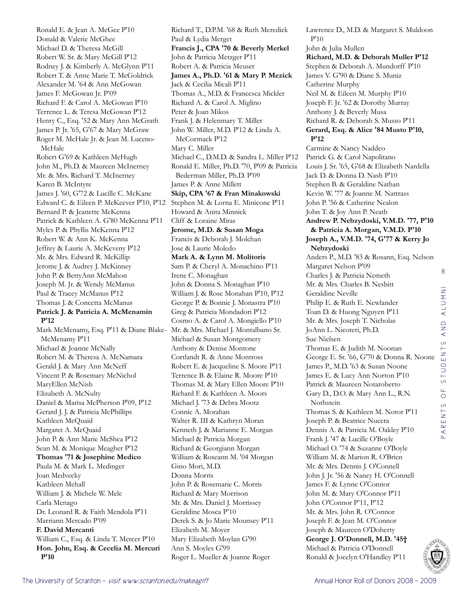Ronald E. & Jean A. McGee P'10 Donald & Valerie McGhee Michael D. & Theresa McGill Robert W. Sr. & Mary McGill P'12 Rodney J. & Kimberly A. McGlynn P'11 Robert T. & Anne Marie T. McGoldrick Alexander M. '64 & Ann McGowan James F. McGowan Jr. P'09 Richard F. & Carol A. McGowan P'10 Terrence L. & Teresa McGowan P'12 Henry C., Esq. '52 & Mary Ann McGrath James P. Jr. '65, G'67 & Mary McGraw Roger M. McHale Jr. & Jean M. Luceno-McHale Robert G'69 & Kathleen McHugh John M., Ph.D. & Maureen McInerney Mr. & Mrs. Richard T. McInerney Karen B. McIntyre James J. '60, G'72 & Lucille C. McKane Edward C. & Eileen P. McKeever P'10, P'12 Bernard P. & Jeanette McKenna Patrick & Kathleen A. G'80 McKenna P'11 Myles P. & Phyllis McKenna P'12 Robert W. & Ann K. McKenna Jeffrey & Laurie A. McKeveny P'12 Mr. & Mrs. Edward R. McKillip Jerome J. & Audrey J. McKinney John P. & BettyAnn McMahon Joseph M. Jr. & Wendy McManus Paul & Tracey McManus P'12 Thomas J. & Concetta McManus **Patrick J. & Patricia A. McMenamin P'12** Mark McMenamy, Esq. P'11 & Diane Blake-McMenamy P'11 Michael & Joanne McNally Robert M. & Theresa A. McNamara Gerald J. & Mary Ann McNeff Vincent P. & Rosemary McNichol MaryEllen McNish Elizabeth A. McNulty Daniel & Marisa McPherson P'09, P'12 Gerard J. J. & Patricia McPhillips Kathleen McQuaid Margaret A. McQuaid John P. & Ann Marie McShea P'12 Sean M. & Monique Meagher P'12 **Thomas '71 & Josephine Medico** Paula M. & Mark L. Medinger Joan Medvecky Kathleen Mehall William J. & Michele W. Mele Carla Menago Dr. Leonard R. & Faith Mendola P'11 Marriann Mercado P'09 **F. David Mercanti**  William C., Esq. & Linda T. Mercer P'10 **Hon. John, Esq. & Cecelia M. Mercuri P'10**

Richard T., D.P.M. '68 & Ruth Meredick Paul & Lydia Merget **Francis J., CPA '70 & Beverly Merkel** John & Patricia Metzger P'11 Robert A. & Patricia Meuser **James A., Ph.D. '61 & Mary P. Mezick** Jack & Cecilia Micali P'11 Thomas A., M.D. & Francesca Mickler Richard A. & Carol A. Miglino Peter & Joan Mikos Frank J. & Helenmary T. Miller John W. Miller, M.D. P'12 & Linda A. McCormack P'12 Mary C. Miller Michael C., D.M.D. & Sandra L. Miller P'12 Ronald E. Miller, Ph.D. '70, P'09 & Patricia Bederman Miller, Ph.D. P'09 James P. & Anne Millett **Skip, CPA '67 & Fran Minakowski** Stephen M. & Lorna E. Minicone P'11 Howard & Anita Minnick Cliff & Loraine Miras **Jerome, M.D. & Susan Moga** Francis & Deborah J. Molchan Jose & Laurie Moledo **Mark A. & Lynn M. Molitoris** Sam P. & Cheryl A. Monachino P'11 Irene C. Monaghan John & Donna S. Monaghan P'10 William J. & Rose Monahan P'10, P'12 George P. & Bonnie J. Monastra P'10 Greg & Patricia Mondadori P'12 Cosmo A. & Carol A. Mongiello P'10 Mr. & Mrs. Michael J. Montalbano Sr. Michael & Susan Montgomery Anthony & Denise Montone Cortlandt R. & Anne Montross Robert E. & Jacqueline S. Moore P'11 Terrence B. & Elaine R. Moore P'10 Thomas M. & Mary Ellen Moore P'10 Richard F. & Kathleen A. Moors Michael J. '73 & Debra Mootz Connie A. Morahan Walter R. III & Kathryn Moran Kenneth J. & Marianne E. Morgan Michael & Patricia Morgan Richard & Georgiann Morgan William & Roseann M. '04 Morgan Gino Mori, M.D. Donna Morris John P. & Rosemarie C. Morris Richard & Mary Morrison Mr. & Mrs. Daniel J. Morrissey Geraldine Mosca P'10 Derek S. & Jo Marie Mounsey P'11 Elizabeth M. Moyer Mary Elizabeth Moylan G'90 Ann S. Moyles G'99 Roger L. Mueller & Joanne Roger

Lawrence D., M.D. & Margaret S. Muldoon P'10 John & Julia Mullen **Richard, M.D. & Deborah Muller P'12** Stephen & Deborah A. Mundorff P'10 James V. G'90 & Diane S. Muniz Catherine Murphy Neil M. & Eileen M. Murphy P'10 Joseph F. Jr. '62 & Dorothy Murray Anthony J. & Beverly Musa Richard R. & Deborah S. Musso P'11 **Gerard, Esq. & Alice '84 Musto P'10, P'12** Carmine & Nancy Naddeo Patrick G. & Carol Napolitano Louis J. Sr. '65, G'68 & Elizabeth Nardella Jack D. & Donna D. Nash P'10 Stephen B. & Geraldine Nathan Kevin W. '77 & Joanne M. Nattrass John P. '56 & Catherine Nealon John T. & Joy Ann P. Neath **Andrew P. Nebzydoski, V.M.D. '77, P'10 & Patricia A. Morgan, V.M.D. P'10 Joseph A., V.M.D. '74, G'77 & Kerry Jo Nebzydoski** Anders P., M.D. '83 & Rosann, Esq. Nelson Margaret Nelson P'09 Charles J. & Patricia Nemeth Mr. & Mrs. Charles B. Nesbitt Geraldine Neville Philip E. & Ruth E. Newlander Toan D. & Huong Nguyen P'11 Mr. & Mrs. Joseph T. Nicholas JoAnn L. Nicoteri, Ph.D. Sue Nielsen Thomas E. & Judith M. Noonan George E. Sr. '66, G'70 & Donna R. Noone James P., M.D. '63 & Susan Noone James E. & Lucy Ann Norton P'10 Patrick & Maureen Notaroberto Gary D., D.O. & Mary Ann L., R.N. Nothstein Thomas S. & Kathleen M. Notor P'11 Joseph P. & Beatrice Nucera Dennis A. & Patricia M. Oakley P'10 Frank J. '47 & Lucille O'Boyle Michael O. '74 & Suzanne O'Boyle William M. & Marion R. O'Brien Mr. & Mrs. Dennis J. O'Connell John J. Jr. '56 & Nancy H. O'Connell James F. & Lynne O'Connor John M. & Mary O'Connor P'11 John O'Connor P'11, P'12 Mr. & Mrs. John R. O'Connor Joseph F. & Jean M. O'Connor Joseph & Maureen O'Doherty **George J. O'Donnell, M.D. '45†** Michael & Patricia O'Donnell Ronald & Jocelyn O'Handley P'11

8

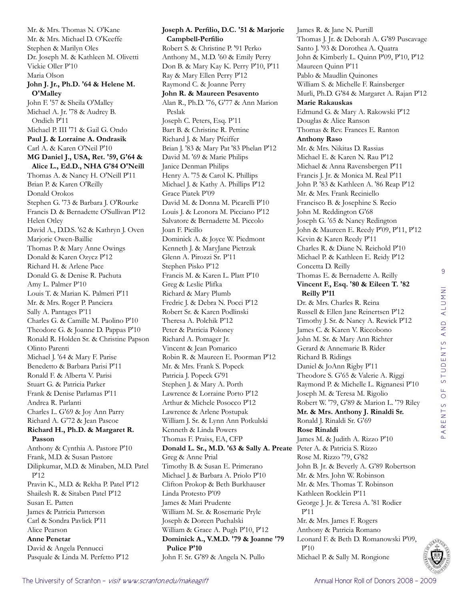Mr. & Mrs. Thomas N. O'Kane Mr. & Mrs. Michael D. O'Keeffe Stephen & Marilyn Oles Dr. Joseph M. & Kathleen M. Olivetti Vickie Oller P'10 Maria Olson **John J. Jr., Ph.D. '64 & Helene M. O'Malley** John F. '57 & Sheila O'Malley Michael A. Jr. '78 & Audrey B. Ondich P'11 Michael P. III '71 & Gail G. Ondo **Paul J. & Lorraine A. Ondrasik** Carl A. & Karen O'Neil P'10 **MG Daniel J., USA, Ret. '59, G'64 & Alice L., Ed.D., NHA G'84 O'Neill** Thomas A. & Nancy H. O'Neill P'11 Brian P. & Karen O'Reilly Donald Orokos Stephen G. '73 & Barbara J. O'Rourke Francis D. & Bernadette O'Sullivan P'12 Helen Otley David A., D.D.S. '62 & Kathryn J. Oven Marjorie Owen-Baillie Thomas P. & Mary Anne Owings Donald & Karen Ozycz P'12 Richard H. & Arlene Pace Donald G. & Denise R. Pachuta Amy L. Palmer P'10 Louis T. & Marian K. Palmeri P'11 Mr. & Mrs. Roger P. Panciera Sally A. Pantages P'11 Charles G. & Camille M. Paolino P'10 Theodore G. & Joanne D. Pappas P'10 Ronald R. Holden Sr. & Christine Papson Olinto Parenti Michael J. '64 & Mary F. Parise Benedetto & Barbara Parisi P'11 Ronald F. & Alberta V. Parisi Stuart G. & Patricia Parker Frank & Denise Parlamas P'11 Andrea R. Parlanti Charles L. G'69 & Joy Ann Parry Richard A. G'72 & Jean Pascoe **Richard H., Ph.D. & Margaret R. Passon** Anthony & Cynthia A. Pastore P'10 Frank, M.D. & Susan Pastore Dilipkumar, M.D. & Minaben, M.D. Patel P'12 Pravin K., M.D. & Rekha P. Patel P'12 Shailesh R. & Sitaben Patel P'12 Susan E. Patten James & Patricia Patterson Carl & Sondra Pavlick P'11 Alice Pearson **Anne Penetar**  David & Angela Pennucci Pasquale & Linda M. Perfetto P'12

**Joseph A. Perfilio, D.C. '51 & Marjorie Campbell-Perfilio** Robert S. & Christine P. '91 Perko Anthony M., M.D. '60 & Emily Perry Don B. & Mary Kay K. Perry P'10, P'11 Ray & Mary Ellen Perry P'12 Raymond C. & Joanne Perry **John R. & Maureen Pesavento** Alan R., Ph.D. '76, G'77 & Ann Marion Peslak Joseph C. Peters, Esq. P'11 Bart B. & Christine R. Pettine Richard J. & Mary Pfeiffer Brian J. '83 & Mary Pat '83 Phelan P'12 David M. '69 & Marie Philips Janice Denman Philips Henry A. '75 & Carol K. Phillips Michael J. & Kathy A. Phillips P'12 Grace Piatek P'09 David M. & Donna M. Picarelli P'10 Louis J. & Leonora M. Picciano P'12 Salvatore & Bernadette M. Piccolo Joan F. Picillo Dominick A. & Joyce W. Piedmont Kenneth J. & MaryJane Pietrzak Glenn A. Pirozzi Sr. P'11 Stephen Pisko P'12 Francis M. & Karen L. Platt P'10 Greg & Leslie Plifka Richard & Mary Plumb Fredric J. & Debra N. Pocci P'12 Robert Sr. & Karen Podlinski Theresa A. Polchik P'12 Peter & Patricia Poloney Richard A. Pomager Jr. Vincent & Jean Pomarico Robin R. & Maureen E. Poorman P'12 Mr. & Mrs. Frank S. Popeck Patricia J. Popeck G'91 Stephen J. & Mary A. Porth Lawrence & Lorraine Porto P'12 Arthur & Michele Posocco P'12 Lawrence & Arlene Postupak William J. Sr. & Lynn Ann Potkulski Kenneth & Linda Powers Thomas F. Praiss, EA, CFP **Donald L. Sr., M.D. '63 & Sally A. Preate** Peter A. & Patricia S. Rizzo Greg & Anne Prial Timothy B. & Susan E. Primerano Michael J. & Barbara A. Priolo P'10 Clifton Prokop & Beth Burkhauser Linda Protesto P'09 James & Mari Prudente William M. Sr. & Rosemarie Pryle Joseph & Doreen Puchalski William & Grace A. Pugh P'10, P'12 **Dominick A., V.M.D. '79 & Joanne '79 Pulice P'10** John F. Sr. G'89 & Angela N. Pullo

James R. & Jane N. Purtill Thomas J. Jr. & Deborah A. G'89 Puscavage Santo J. '93 & Dorothea A. Quatra John & Kimberly L. Quinn P'09, P'10, P'12 Maureen Quinn P'11 Pablo & Maudlin Quinones William S. & Michelle F. Rainsberger Murli, Ph.D. G'84 & Margaret A. Rajan P'12 **Marie Rakauskas**  Edmund G. & Mary A. Rakowski P'12 Douglas & Alice Ranson Thomas & Rev. Frances E. Ranton **Anthony Raso**  Mr. & Mrs. Nikitas D. Rassias Michael E. & Karen N. Rau P'12 Michael & Anna Ravensbergen P'11 Francis J. Jr. & Monica M. Real P'11 John P. '83 & Kathleen A. '86 Reap P'12 Mr. & Mrs. Frank Reciniello Francisco B. & Josephine S. Recio John M. Reddington G'68 Joseph G. '65 & Nancy Redington John & Maureen E. Reedy P'09, P'11, P'12 Kevin & Karen Reedy P'11 Charles R. & Diane N. Reichold P'10 Michael P. & Kathleen E. Reidy P'12 Concetta D. Reilly Thomas E. & Bernadette A. Reilly **Vincent F., Esq. '80 & Eileen T. '82 Reilly P'11** Dr. & Mrs. Charles R. Reina Russell & Ellen Jane Reinertsen P'12 Timothy J. Sr. & Nancy A. Rewick P'12 James C. & Karen V. Riccobono John M. Sr. & Mary Ann Richter Gerard & Annemarie B. Rider Richard B. Ridings Daniel & JoAnn Rigby P'11 Theodore S. G'65 & Valerie A. Riggi Raymond P. & Michelle L. Rignanesi P'10 Joseph M. & Teresa M. Rigolio Robert W. '79, G'89 & Marion L. '79 Riley **Mr. & Mrs. Anthony J. Rinaldi Sr.**  Ronald J. Rinaldi Sr. G'69 **Rose Rinaldi**  James M. & Judith A. Rizzo P'10 Rose M. Rizzo '79, G'82 John B. Jr. & Beverly A. G'89 Robertson Mr. & Mrs. John W. Robinson Mr. & Mrs. Thomas T. Robinson Kathleen Rocklein P'11 George J. Jr. & Teresa A. '81 Rodier P'11 Mr. & Mrs. James F. Rogers Anthony & Patricia Romano Leonard F. & Beth D. Romanowski P'09, P'10 Michael P. & Sally M. Rongione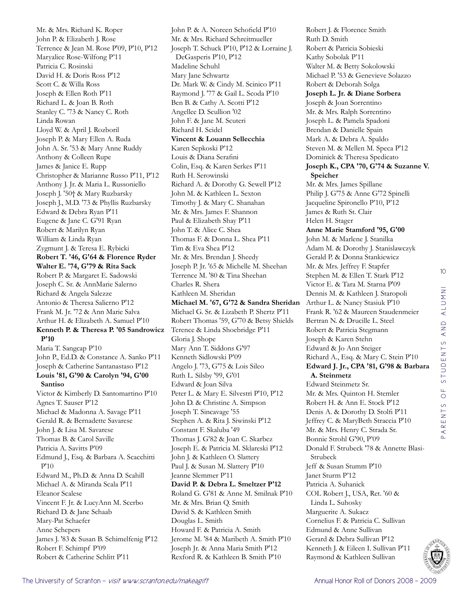Mr. & Mrs. Richard K. Roper John P. & Elizabeth J. Rose Terrence & Jean M. Rose P'09, P'10, P'12 Maryalice Rose-Wilfong P'11 Patricia C. Rosinski David H. & Doris Ross P'12 Scott C. & Willa Ross Joseph & Ellen Roth P'11 Richard L. & Joan B. Roth Stanley C. '73 & Nancy C. Roth Linda Rowan Lloyd W. & April J. Rozboril Joseph P. & Mary Ellen A. Ruda John A. Sr. '53 & Mary Anne Ruddy Anthony & Colleen Rupe James & Janice E. Rupp Christopher & Marianne Russo P'11, P'12 Anthony J. Jr. & Maria L. Russoniello Joseph J. '50† & Mary Ruzbarsky Joseph J., M.D. '73 & Phyllis Ruzbarsky Edward & Debra Ryan P'11 Eugene & Jane C. G'91 Ryan Robert & Marilyn Ryan William & Linda Ryan Zygmunt J. & Teresa E. Rybicki **Robert T. '46, G'64 & Florence Ryder Walter E. '74, G'79 & Rita Sack** Robert P. & Margaret E. Sadowski Joseph C. Sr. & AnnMarie Salerno Richard & Angela Salezze Antonio & Theresa Salierno P'12 Frank M. Jr. '72 & Ann Marie Salva Arthur H. & Elizabeth A. Samuel P'10 **Kenneth P. & Theresa P. '05 Sandrowicz P'10** Maria T. Sangcap P'10 John P., Ed.D. & Constance A. Sanko P'11 Joseph & Catherine Santanastaso P'12 **Louis '81, G'90 & Carolyn '94, G'00 Santiso** Victor & Kimberly D. Santomartino P'10 Agnes T. Sauser P'12 Michael & Madonna A. Savage P'11 Gerald R. & Bernadette Savarese John J. & Lisa M. Savarese Thomas B. & Carol Saville Patricia A. Savitts P'09 Edmund J., Esq. & Barbara A. Scacchitti P'10 Edward M., Ph.D. & Anna D. Scahill Michael A. & Miranda Scala P'11 Eleanor Scalese Vincent F. Jr. & LucyAnn M. Scerbo Richard D. & Jane Schaab Mary-Pat Schaefer Anne Schepers James J. '83 & Susan B. Schimelfenig P'12 Robert F. Schimpf P'09 Robert & Catherine Schlitt P'11

John P. & A. Noreen Schofield P'10 Mr. & Mrs. Richard Schreitmueller Joseph T. Schuck P'10, P'12 & Lorraine J. DeGasperis P'10, P'12 Madeline Schuhl Mary Jane Schwartz Dr. Mark W. & Cindy M. Scinico P'11 Raymond J. '77 & Gail L. Scoda P'10 Ben B. & Cathy A. Scotti P'12 Angellee D. Scullion '02 John F. & Jane M. Scuteri Richard H. Seidel **Vincent & Louann Sellecchia** Karen Sepkoski P'12 Louis & Diana Serafini Colin, Esq. & Karen Serkes P'11 Ruth H. Serowinski Richard A. & Dorothy G. Sewell P'12 John M. & Kathleen L. Sexton Timothy J. & Mary C. Shanahan Mr. & Mrs. James F. Shannon Paul & Elizabeth Shay P'11 John T. & Alice C. Shea Thomas F. & Donna L. Shea P'11 Tim & Eva Shea P'12 Mr. & Mrs. Brendan J. Sheedy Joseph P. Jr. '65 & Michelle M. Sheehan Terrence M. '80 & Tina Sheehan Charles R. Shera Kathleen M. Sheridan **Michael M. '67, G'72 & Sandra Sheridan** Michael G. Sr. & Lizabeth P. Shertz P'11 Robert Thomas '59, G'70 & Betsy Shields Terence & Linda Shoebridge P'11 Gloria J. Shope Mary Ann T. Siddons G'97 Kenneth Sidlowski P'09 Angelo J. '73, G'75 & Lois Sileo Ruth L. Silsby '99, G'01 Edward & Joan Silva Peter L. & Mary E. Silvestri P'10, P'12 John D. & Christine A. Simpson Joseph T. Sincavage '55 Stephen A. & Rita J. Siwinski P'12 Constant F. Skaluba '49 Thomas J. G'82 & Joan C. Skarbez Joseph E. & Patricia M. Sklareski P'12 John J. & Kathleen O. Slattery Paul J. & Susan M. Slattery P'10 Jeanne Slemmer P'11 **David P. & Debra L. Smeltzer P'12** Roland G. G'81 & Anne M. Smilnak P'10 Mr. & Mrs. Brian Q. Smith David S. & Kathleen Smith Douglas L. Smith Howard F. & Patricia A. Smith Jerome M. '84 & Maribeth A. Smith P'10 Joseph Jr. & Anna Maria Smith P'12 Rexford R. & Kathleen B. Smith P'10

Robert J. & Florence Smith Ruth D. Smith Robert & Patricia Sobieski Kathy Sobolak P'11 Walter M. & Betty Sokolowski Michael P. '53 & Genevieve Solazzo Robert & Deborah Solga **Joseph L. Jr. & Diane Sorbera** Joseph & Joan Sorrentino Mr. & Mrs. Ralph Sorrentino Joseph L. & Pamela Spadoni Brendan & Danielle Spain Mark A. & Debra A. Spaldo Steven M. & Mellen M. Speca P'12 Dominick & Theresa Spedicato **Joseph K., CPA '70, G'74 & Suzanne V. Speicher** Mr. & Mrs. James Spillane Philip J. G'75 & Anne G'72 Spinelli Jacqueline Spironello P'10, P'12 James & Ruth St. Clair Helen H. Stager **Anne Marie Stamford '95, G'00** John M. & Marlene J. Stanilka Adam M. & Dorothy J. Stanislawczyk Gerald P. & Donna Stankiewicz Mr. & Mrs. Jeffrey F. Stapfer Stephen M. & Ellen T. Stark P'12 Victor E. & Tara M. Starna P'09 Dennis M. & Kathleen J. Staropoli Arthur L. & Nancy Stasiuk P'10 Frank R. '62 & Maureen Staudenmeier Bertran N. & Drucille L. Steel Robert & Patricia Stegmann Joseph & Karen Stehn Edward & Jo Ann Steiger Richard A., Esq. & Mary C. Stein P'10 **Edward J. Jr., CPA '81, G'98 & Barbara A. Steinmetz** Edward Steinmetz Sr. Mr. & Mrs. Quinton H. Stemler Robert H. & Ann E. Stock P'12 Denis A. & Dorothy D. Stolfi P'11 Jeffrey C. & MaryBeth Straccia P'10 Mr. & Mrs. Henry C. Strada Sr. Bonnie Strohl G'90, P'09 Donald F. Strubeck '78 & Annette Blasi-Strubeck Jeff & Susan Stumm P'10 Janet Sturm P'12 Patricia A. Suhanick COL Robert J., USA, Ret. '60 & Linda L. Suhosky Marguerite A. Sukacz Cornelius F. & Patricia C. Sullivan Edmund & Anne Sullivan Gerard & Debra Sullivan P'12 Kenneth J. & Eileen I. Sullivan P'11 Raymond & Kathleen Sullivan

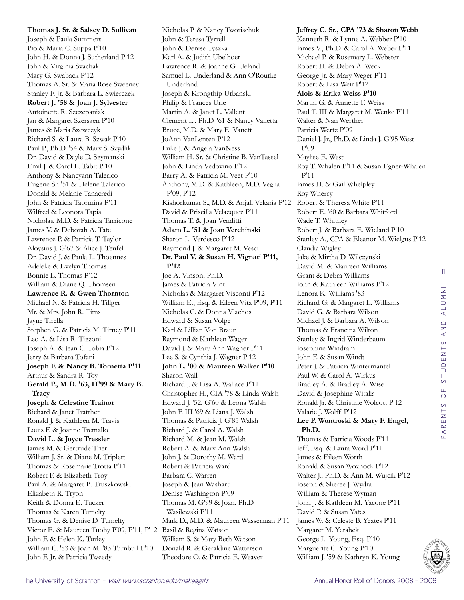**Thomas J. Sr. & Salsey D. Sullivan** Joseph & Paula Summers Pio & Maria C. Suppa P'10 John H. & Donna J. Sutherland P'12 John & Virginia Svachak Mary G. Swaback P'12 Thomas A. Sr. & Maria Rose Sweeney Stanley F. Jr. & Barbara L. Swierczek **Robert J. '58 & Joan J. Sylvester** Antoinette R. Szczepaniak Jan & Margaret Szerszen P'10 James & Maria Szewczyk Richard S. & Laura B. Szwak P'10 Paul P., Ph.D. '54 & Mary S. Szydlik Dr. David & Dayle D. Szymanski Emil J. & Carol L. Tabit P'10 Anthony & Nancyann Talerico Eugene Sr. '51 & Helene Talerico Donald & Melanie Tanacredi John & Patricia Taormina P'11 Wilfred & Leonora Tapia Nicholas, M.D. & Patricia Tarricone James V. & Deborah A. Tate Lawrence P. & Patricia T. Taylor Aloysius J. G'67 & Alice J. Teufel Dr. David J. & Paula L. Thoennes Adeleke & Evelyn Thomas Bonnie L. Thomas P'12 William & Diane Q. Thomsen **Lawrence R. & Gwen Thornton** Michael N. & Patricia H. Tillger Mr. & Mrs. John R. Tims Jayne Tirella Stephen G. & Patricia M. Tirney P'11 Leo A. & Lisa R. Tizzoni Joseph A. & Jean C. Tobia P'12 Jerry & Barbara Tofani **Joseph F. & Nancy B. Tornetta P'11** Arthur & Sandra R. Toy **Gerald P., M.D. '63, H'99 & Mary B. Tracy Joseph & Celestine Trainor** Richard & Janet Tratthen Ronald J. & Kathleen M. Travis Louis F. & Joanne Tremallo **David L. & Joyce Tressler** James M. & Gertrude Trier William J. Sr. & Diane M. Triplett Thomas & Rosemarie Trotta P'11 Robert F. & Elizabeth Troy Paul A. & Margaret B. Truszkowski Elizabeth R. Tryon Keith & Donna E. Tucker Thomas & Karen Tumelty Thomas G. & Denise D. Tumelty Victor E. & Maureen Tuohy P'09, P'11, P'12 Basil & Regina Watson John F. & Helen K. Turley William C. '83 & Joan M. '83 Turnbull P'10 John F. Jr. & Patricia Tweedy

Nicholas P. & Nancy Tworischuk John & Teresa Tyrrell John & Denise Tyszka Karl A. & Judith Ubelhoer Lawrence R. & Joanne G. Ueland Samuel L. Underland & Ann O'Rourke-Underland Joseph & Krongthip Urbanski Philip & Frances Urie Martin A. & Janet L. Vallent Clement L., Ph.D. '61 & Nancy Valletta Bruce, M.D. & Mary E. Vanett JoAnn VanLenten P'12 Luke J. & Angela VanNess William H. Sr. & Christine B. VanTassel John & Linda Vedovino P'12 Barry A. & Patricia M. Veet P'10 Anthony, M.D. & Kathleen, M.D. Veglia P'09, P'12 Kishorkumar S., M.D. & Anjali Vekaria P'12 David & Priscilla Velazquez P'11 Thomas T. & Joan Venditti **Adam L. '51 & Joan Verchinski** Sharon L. Verdesco P'12 Raymond J. & Margaret M. Vesci **Dr. Paul V. & Susan H. Vignati P'11, P'12** Joe A. Vinson, Ph.D. James & Patricia Vint Nicholas & Margaret Visconti P'12 William E., Esq. & Eileen Vita P'09, P'11 Nicholas C. & Donna Vlachos Edward & Susan Volpe Karl & Lillian Von Braun Raymond & Kathleen Wager David J. & Mary Ann Wagner P'11 Lee S. & Cynthia J. Wagner P'12 **John L. '00 & Maureen Walker P'10** Sharon Wall Richard J. & Lisa A. Wallace P'11 Christopher H., CIA '78 & Linda Walsh Edward J. '52, G'60 & Leona Walsh John F. III '69 & Liana J. Walsh Thomas & Patricia J. G'85 Walsh Richard J. & Carol A. Walsh Richard M. & Jean M. Walsh Robert A. & Mary Ann Walsh John J. & Dorothy M. Ward Robert & Patricia Ward Barbara C. Warren Joseph & Jean Washart Denise Washington P'09 Thomas M. G'99 & Joan, Ph.D. Wasilewski P'11 Mark D., M.D. & Maureen Wasserman P'11 William S. & Mary Beth Watson Donald R. & Geraldine Watterson

Theodore O. & Patricia E. Weaver

**Jeffrey C. Sr., CPA '73 & Sharon Webb** Kenneth R. & Lynne A. Webber P'10 James V., Ph.D. & Carol A. Weber P'11 Michael P. & Rosemary L. Webster Robert H. & Debra A. Weck George Jr. & Mary Weger P'11 Robert & Lisa Weir P'12 **Alois & Erika Weiss P'10** Martin G. & Annette F. Weiss Paul T. III & Margaret M. Wenke P'11 Walter & Nan Werther Patricia Wertz P'09 Daniel J. Jr., Ph.D. & Linda J. G'95 West P'09 Maylise E. West Roy T. Whalen P'11 & Susan Egner-Whalen P'11 James H. & Gail Whelpley Roy Wherry Robert & Theresa White P'11 Robert E. '60 & Barbara Whitford Wade T. Whitney Robert J. & Barbara E. Wieland P'10 Stanley A., CPA & Eleanor M. Wielgus P'12 Claudia Wigley Jake & Mirtha D. Wilczynski David M. & Maureen Williams Grant & Debra Williams John & Kathleen Williams P'12 Lenora K. Williams '83 Richard G. & Margaret L. Williams David G. & Barbara Wilson Michael J. & Barbara A. Wilson Thomas & Francina Wilton Stanley & Ingrid Winderbaum Josephine Windram John F. & Susan Windt Peter J. & Patricia Wintermantel Paul W. & Carol A. Wirkus Bradley A. & Bradley A. Wise David & Josephine Witalis Ronald Jr. & Christine Wolcott P'12 Valarie J. Wolff P'12 **Lee P. Wontroski & Mary F. Engel, Ph.D.** Thomas & Patricia Woods P'11 Jeff, Esq. & Laura Word P'11 James & Eileen Worth Ronald & Susan Woznock P'12 Walter J., Ph.D. & Ann M. Wujcik P'12 Joseph & Sheree J. Wydra William & Therese Wyman John J. & Kathleen M. Yacone P'11 David P. & Susan Yates James W. & Celeste B. Yeates P'11 Margaret M. Yerabek George L. Young, Esq. P'10 Marguerite C. Young P'10

William J. '59 & Kathryn K. Young